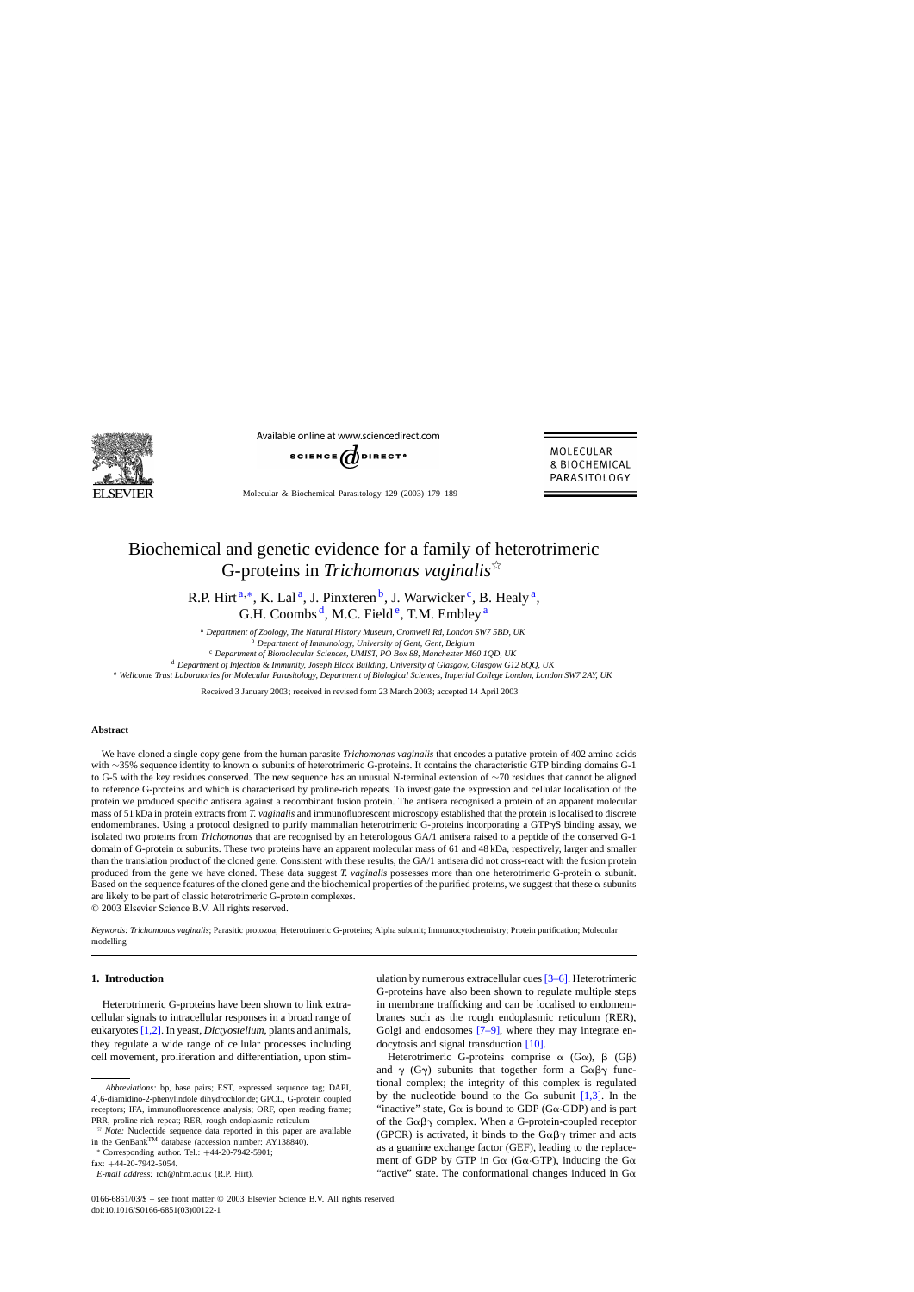

Available online at www.sciencedirect.com



MOLECULAR & BIOCHEMICAL PARASITOLOGY

Molecular & Biochemical Parasitology 129 (2003) 179–189

# Biochemical and genetic evidence for a family of heterotrimeric G-proteins in *Trichomonas vaginalis*

R.P. Hirt<sup>a,\*</sup>, K. Lal<sup>a</sup>, J. Pinxteren<sup>b</sup>, J. Warwicker<sup>c</sup>, B. Healy<sup>a</sup>, G.H. Coombs<sup>d</sup>, M.C. Field<sup>e</sup>, T.M. Embley<sup>a</sup>

<sup>a</sup> *Department of Zoology, The Natural History Museum, Cromwell Rd, London SW7 5BD, UK* <sup>b</sup> *Department of Immunology, University of Gent, Gent, Belgium*

<sup>c</sup> *Department of Biomolecular Sciences, UMIST, PO Box 88, Manchester M60 1QD, UK*

<sup>d</sup> *Department of Infection* & *Immunity, Joseph Black Building, University of Glasgow, Glasgow G12 8QQ, UK*

<sup>e</sup> *Wellcome Trust Laboratories for Molecular Parasitology, Department of Biological Sciences, Imperial College London, London SW7 2AY, UK*

Received 3 January 2003; received in revised form 23 March 2003; accepted 14 April 2003

#### **Abstract**

We have cloned a single copy gene from the human parasite *Trichomonas vaginalis* that encodes a putative protein of 402 amino acids with ∼35% sequence identity to known α subunits of heterotrimeric G-proteins. It contains the characteristic GTP binding domains G-1 to G-5 with the key residues conserved. The new sequence has an unusual N-terminal extension of ∼70 residues that cannot be aligned to reference G-proteins and which is characterised by proline-rich repeats. To investigate the expression and cellular localisation of the protein we produced specific antisera against a recombinant fusion protein. The antisera recognised a protein of an apparent molecular mass of 51 kDa in protein extracts from *T. vaginalis* and immunofluorescent microscopy established that the protein is localised to discrete endomembranes. Using a protocol designed to purify mammalian heterotrimeric G-proteins incorporating a GTPyS binding assay, we isolated two proteins from *Trichomonas* that are recognised by an heterologous GA/1 antisera raised to a peptide of the conserved G-1 domain of G-protein  $\alpha$  subunits. These two proteins have an apparent molecular mass of 61 and 48 kDa, respectively, larger and smaller than the translation product of the cloned gene. Consistent with these results, the GA/1 antisera did not cross-react with the fusion protein produced from the gene we have cloned. These data suggest *T. vaginalis* possesses more than one heterotrimeric G-protein  $\alpha$  subunit. Based on the sequence features of the cloned gene and the biochemical properties of the purified proteins, we suggest that these  $\alpha$  subunits are likely to be part of classic heterotrimeric G-protein complexes.

© 2003 Elsevier Science B.V. All rights reserved.

*Keywords: Trichomonas vaginalis*; Parasitic protozoa; Heterotrimeric G-proteins; Alpha subunit; Immunocytochemistry; Protein purification; Molecular modelling

## **1. Introduction**

Heterotrimeric G-proteins have been shown to link extracellular signals to intracellular responses in a broad range of eukaryotes [\[1,2\]. I](#page-9-0)n yeast, *Dictyostelium*, plants and animals, they regulate a wide range of cellular processes including cell movement, proliferation and differentiation, upon stim-

fax: +44-20-7942-5054.

ulation by numerous extracellular cues [\[3–6\]. H](#page-9-0)eterotrimeric G-proteins have also been shown to regulate multiple steps in membrane trafficking and can be localised to endomembranes such as the rough endoplasmic reticulum (RER), Golgi and endosomes [\[7–9\],](#page-9-0) where they may integrate endocytosis and signal transduction [\[10\].](#page-9-0)

Heterotrimeric G-proteins comprise  $\alpha$  (G $\alpha$ ),  $\beta$  (G $\beta$ ) and  $\gamma$  (G $\gamma$ ) subunits that together form a G $\alpha\beta\gamma$  functional complex; the integrity of this complex is regulated by the nucleotide bound to the G $\alpha$  subunit [\[1,3\].](#page-9-0) In the "inactive" state,  $G\alpha$  is bound to GDP ( $G\alpha$  $GDP$ ) and is part of the  $G\alpha\beta\gamma$  complex. When a G-protein-coupled receptor (GPCR) is activated, it binds to the  $G\alpha\beta\gamma$  trimer and acts as a guanine exchange factor (GEF), leading to the replacement of GDP by GTP in G $\alpha$  (G $\alpha$ ·GTP), inducing the G $\alpha$ "active" state. The conformational changes induced in  $G\alpha$ 

*Abbreviations:* bp, base pairs; EST, expressed sequence tag; DAPI, 4 ,6-diamidino-2-phenylindole dihydrochloride; GPCL, G-protein coupled receptors; IFA, immunofluorescence analysis; ORF, open reading frame; PRR, proline-rich repeat; RER, rough endoplasmic reticulum

*Note:* Nucleotide sequence data reported in this paper are available in the GenBank<sup>TM</sup> database (accession number: AY138840).

<sup>∗</sup> Corresponding author. Tel.: +44-20-7942-5901;

*E-mail address:* rch@nhm.ac.uk (R.P. Hirt).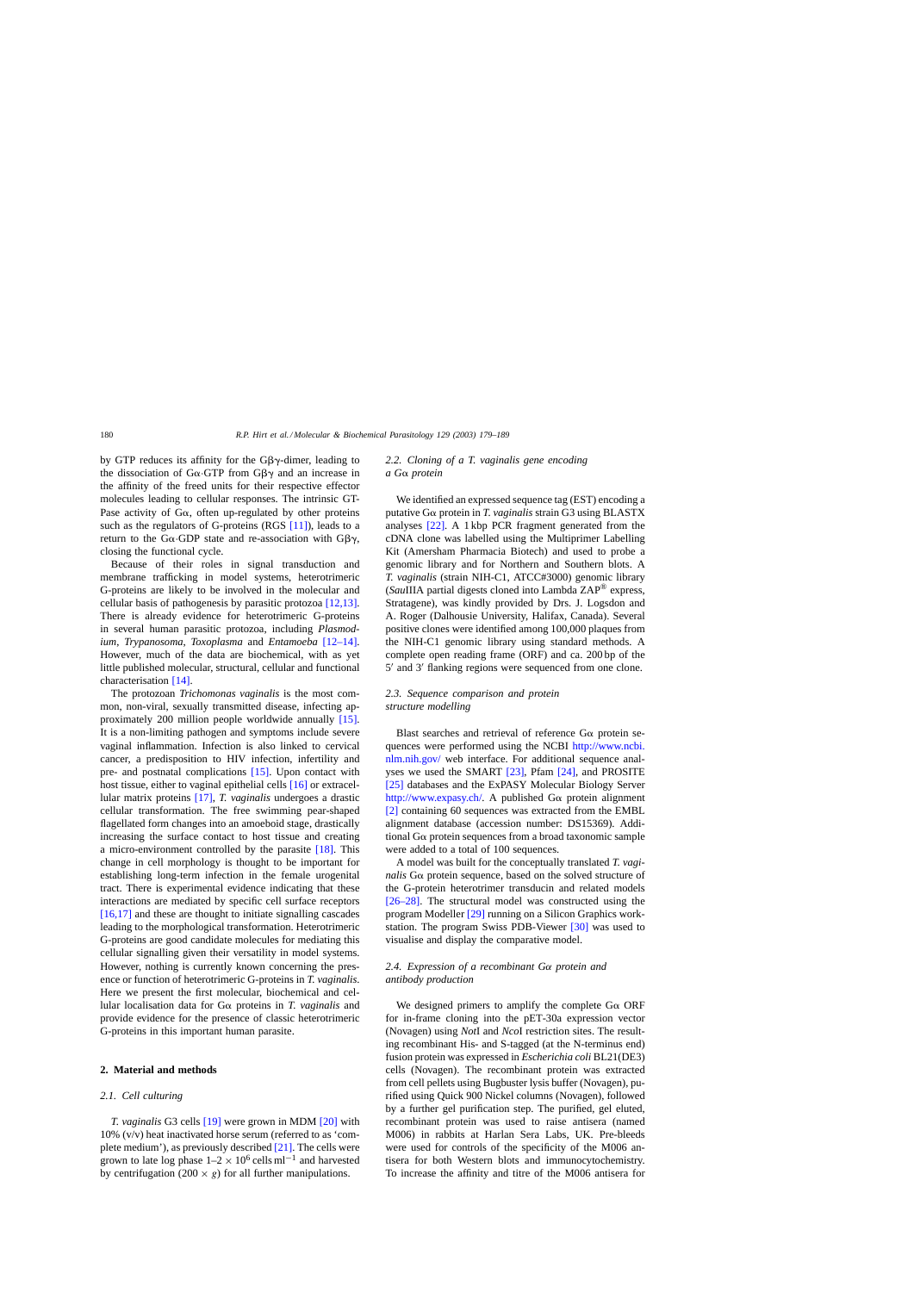by GTP reduces its affinity for the  $G\beta\gamma$ -dimer, leading to the dissociation of  $G\alpha$  GTP from  $G\beta\gamma$  and an increase in the affinity of the freed units for their respective effector molecules leading to cellular responses. The intrinsic GT-Pase activity of  $G\alpha$ , often up-regulated by other proteins such as the regulators of G-proteins (RGS [\[11\]\),](#page-9-0) leads to a return to the G $\alpha$  GDP state and re-association with G $\beta\gamma$ , closing the functional cycle.

Because of their roles in signal transduction and membrane trafficking in model systems, heterotrimeric G-proteins are likely to be involved in the molecular and cellular basis of pathogenesis by parasitic protozoa [\[12,13\].](#page-9-0) There is already evidence for heterotrimeric G-proteins in several human parasitic protozoa, including *Plasmodium*, *Trypanosoma*, *Toxoplasma* and *Entamoeba* [\[12–14\].](#page-9-0) However, much of the data are biochemical, with as yet little published molecular, structural, cellular and functional characterisation [\[14\].](#page-9-0)

The protozoan *Trichomonas vaginalis* is the most common, non-viral, sexually transmitted disease, infecting approximately 200 million people worldwide annually [\[15\].](#page-9-0) It is a non-limiting pathogen and symptoms include severe vaginal inflammation. Infection is also linked to cervical cancer, a predisposition to HIV infection, infertility and pre- and postnatal complications [\[15\].](#page-9-0) Upon contact with host tissue, either to vaginal epithelial cells [\[16\]](#page-9-0) or extracellular matrix proteins [\[17\],](#page-9-0) *T. vaginalis* undergoes a drastic cellular transformation. The free swimming pear-shaped flagellated form changes into an amoeboid stage, drastically increasing the surface contact to host tissue and creating a micro-environment controlled by the parasite [\[18\].](#page-9-0) This change in cell morphology is thought to be important for establishing long-term infection in the female urogenital tract. There is experimental evidence indicating that these interactions are mediated by specific cell surface receptors [\[16,17\]](#page-9-0) and these are thought to initiate signalling cascades leading to the morphological transformation. Heterotrimeric G-proteins are good candidate molecules for mediating this cellular signalling given their versatility in model systems. However, nothing is currently known concerning the presence or function of heterotrimeric G-proteins in *T. vaginalis*. Here we present the first molecular, biochemical and cellular localisation data for  $G\alpha$  proteins in *T. vaginalis* and provide evidence for the presence of classic heterotrimeric G-proteins in this important human parasite.

## **2. Material and methods**

#### *2.1. Cell culturing*

*T. vaginalis* G3 cells [\[19\]](#page-9-0) were grown in MDM [\[20\]](#page-9-0) with 10% (v/v) heat inactivated horse serum (referred to as 'complete medium'), as previously described [\[21\].](#page-9-0) The cells were grown to late log phase  $1-2 \times 10^6$  cells ml<sup>-1</sup> and harvested by centrifugation (200  $\times$  g) for all further manipulations.

## *2.2. Cloning of a T. vaginalis gene encoding a G*<sup>*α*</sup> *protein*

We identified an expressed sequence tag (EST) encoding a putative  $G\alpha$  protein in *T. vaginalis* strain  $G3$  using BLASTX analyses [\[22\].](#page-9-0) A 1 kbp PCR fragment generated from the cDNA clone was labelled using the Multiprimer Labelling Kit (Amersham Pharmacia Biotech) and used to probe a genomic library and for Northern and Southern blots. A *T. vaginalis* (strain NIH-C1, ATCC#3000) genomic library (*Sau*IIIA partial digests cloned into Lambda ZAP® express, Stratagene), was kindly provided by Drs. J. Logsdon and A. Roger (Dalhousie University, Halifax, Canada). Several positive clones were identified among 100,000 plaques from the NIH-C1 genomic library using standard methods. A complete open reading frame (ORF) and ca. 200 bp of the  $5'$  and  $3'$  flanking regions were sequenced from one clone.

# *2.3. Sequence comparison and protein structure modelling*

Blast searches and retrieval of reference  $G\alpha$  protein sequences were performed using the NCBI [http://www.ncbi.](http://www.ncbi.nlm.nih.gov/) [nlm.nih.gov/](http://www.ncbi.nlm.nih.gov/) web interface. For additional sequence analyses we used the SMART [\[23\],](#page-9-0) Pfam [\[24\],](#page-9-0) and PROSITE [\[25\]](#page-9-0) databases and the ExPASY Molecular Biology Server <http://www.expasy.ch/>. A published  $G\alpha$  protein alignment [\[2\]](#page-9-0) containing 60 sequences was extracted from the EMBL alignment database (accession number: DS15369). Additional  $G\alpha$  protein sequences from a broad taxonomic sample were added to a total of 100 sequences.

A model was built for the conceptually translated *T. vagi* $nalis$  G $\alpha$  protein sequence, based on the solved structure of the G-protein heterotrimer transducin and related models [\[26–28\].](#page-9-0) The structural model was constructed using the program Modeller [\[29\]](#page-9-0) running on a Silicon Graphics workstation. The program Swiss PDB-Viewer [\[30\]](#page-9-0) was used to visualise and display the comparative model.

# *2.4. Expression of a recombinant G*α *protein and antibody production*

We designed primers to amplify the complete  $G\alpha$  ORF for in-frame cloning into the pET-30a expression vector (Novagen) using *Not*I and *Nco*I restriction sites. The resulting recombinant His- and S-tagged (at the N-terminus end) fusion protein was expressed in *Escherichia coli* BL21(DE3) cells (Novagen). The recombinant protein was extracted from cell pellets using Bugbuster lysis buffer (Novagen), purified using Quick 900 Nickel columns (Novagen), followed by a further gel purification step. The purified, gel eluted, recombinant protein was used to raise antisera (named M006) in rabbits at Harlan Sera Labs, UK. Pre-bleeds were used for controls of the specificity of the M006 antisera for both Western blots and immunocytochemistry. To increase the affinity and titre of the M006 antisera for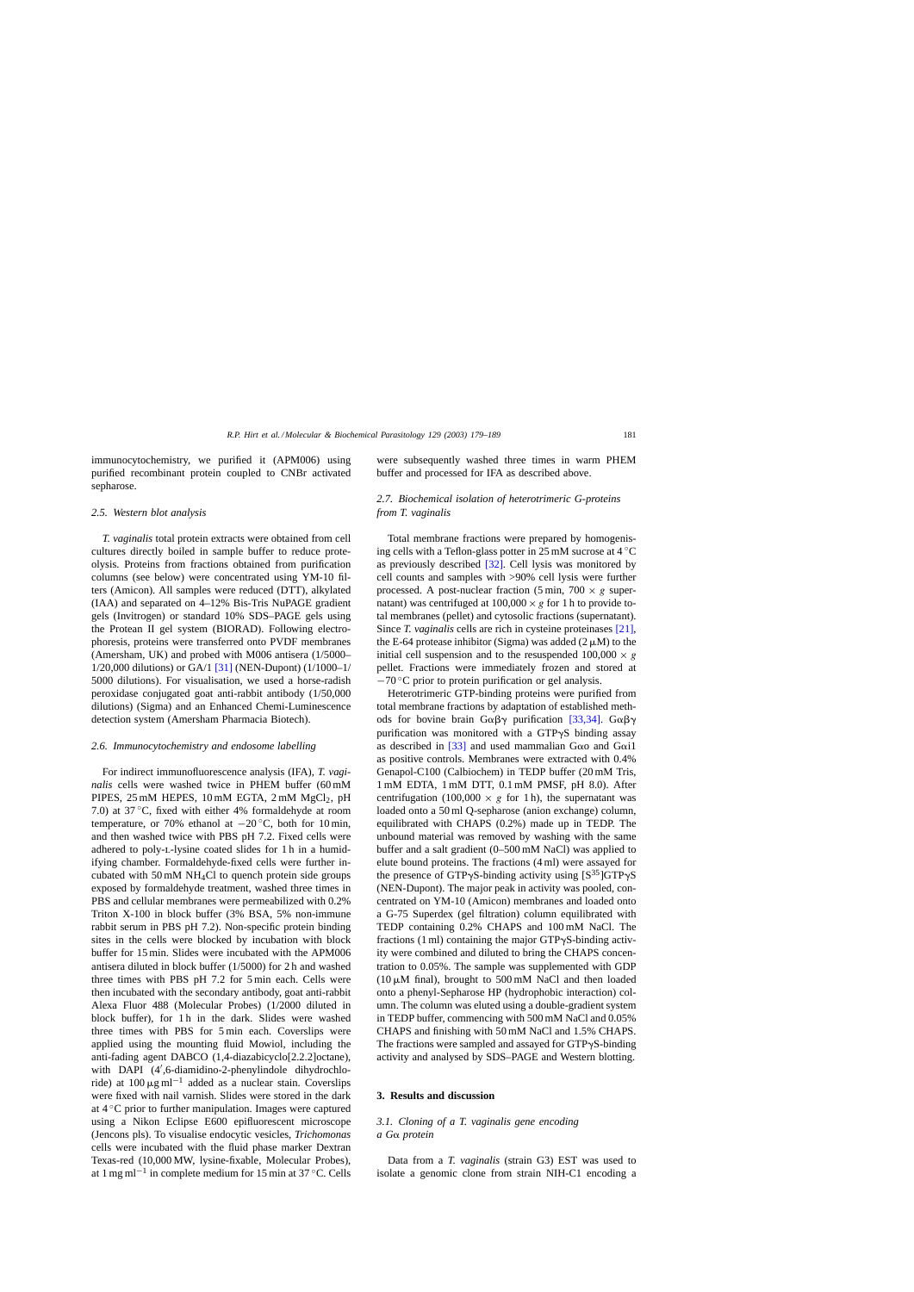immunocytochemistry, we purified it (APM006) using purified recombinant protein coupled to CNBr activated sepharose.

## *2.5. Western blot analysis*

*T. vaginalis* total protein extracts were obtained from cell cultures directly boiled in sample buffer to reduce proteolysis. Proteins from fractions obtained from purification columns (see below) were concentrated using YM-10 filters (Amicon). All samples were reduced (DTT), alkylated (IAA) and separated on 4–12% Bis-Tris NuPAGE gradient gels (Invitrogen) or standard 10% SDS–PAGE gels using the Protean II gel system (BIORAD). Following electrophoresis, proteins were transferred onto PVDF membranes (Amersham, UK) and probed with M006 antisera (1/5000– 1/20,000 dilutions) or GA/1 [\[31\]](#page-9-0) (NEN-Dupont) (1/1000–1/ 5000 dilutions). For visualisation, we used a horse-radish peroxidase conjugated goat anti-rabbit antibody (1/50,000 dilutions) (Sigma) and an Enhanced Chemi-Luminescence detection system (Amersham Pharmacia Biotech).

#### *2.6. Immunocytochemistry and endosome labelling*

For indirect immunofluorescence analysis (IFA), *T. vaginalis* cells were washed twice in PHEM buffer (60 mM PIPES,  $25 \text{ mM HEPES}$ ,  $10 \text{ mM EGTA}$ ,  $2 \text{ mM } MgCl_2$ ,  $pH$ 7.0) at 37 ◦C, fixed with either 4% formaldehyde at room temperature, or 70% ethanol at  $-20^{\circ}$ C, both for 10 min, and then washed twice with PBS pH 7.2. Fixed cells were adhered to poly-l-lysine coated slides for 1 h in a humidifying chamber. Formaldehyde-fixed cells were further incubated with 50 mM NH4Cl to quench protein side groups exposed by formaldehyde treatment, washed three times in PBS and cellular membranes were permeabilized with 0.2% Triton X-100 in block buffer (3% BSA, 5% non-immune rabbit serum in PBS pH 7.2). Non-specific protein binding sites in the cells were blocked by incubation with block buffer for 15 min. Slides were incubated with the APM006 antisera diluted in block buffer (1/5000) for 2 h and washed three times with PBS pH 7.2 for 5 min each. Cells were then incubated with the secondary antibody, goat anti-rabbit Alexa Fluor 488 (Molecular Probes) (1/2000 diluted in block buffer), for 1 h in the dark. Slides were washed three times with PBS for 5 min each. Coverslips were applied using the mounting fluid Mowiol, including the anti-fading agent DABCO (1,4-diazabicyclo[2.2.2]octane), with DAPI (4 ,6-diamidino-2-phenylindole dihydrochloride) at  $100 \,\mathrm{\upmu g\,ml^{-1}}$  added as a nuclear stain. Coverslips were fixed with nail varnish. Slides were stored in the dark at 4 ◦C prior to further manipulation. Images were captured using a Nikon Eclipse E600 epifluorescent microscope (Jencons pls). To visualise endocytic vesicles, *Trichomonas* cells were incubated with the fluid phase marker Dextran Texas-red (10,000 MW, lysine-fixable, Molecular Probes), at 1 mg ml<sup>-1</sup> in complete medium for 15 min at 37 °C. Cells were subsequently washed three times in warm PHEM buffer and processed for IFA as described above.

## *2.7. Biochemical isolation of heterotrimeric G-proteins from T. vaginalis*

Total membrane fractions were prepared by homogenising cells with a Teflon-glass potter in 25 mM sucrose at  $4^{\circ}$ C as previously described [\[32\].](#page-9-0) Cell lysis was monitored by cell counts and samples with >90% cell lysis were further processed. A post-nuclear fraction (5 min, 700  $\times$  g supernatant) was centrifuged at  $100,000 \times g$  for 1 h to provide total membranes (pellet) and cytosolic fractions (supernatant). Since *T. vaginalis* cells are rich in cysteine proteinases [\[21\],](#page-9-0) the E-64 protease inhibitor (Sigma) was added  $(2 \mu M)$  to the initial cell suspension and to the resuspended  $100,000 \times g$ pellet. Fractions were immediately frozen and stored at  $-70$  °C prior to protein purification or gel analysis.

Heterotrimeric GTP-binding proteins were purified from total membrane fractions by adaptation of established methods for bovine brain  $G\alpha\beta\gamma$  purification [\[33,34\].](#page-9-0)  $G\alpha\beta\gamma$ purification was monitored with a GTPyS binding assay as described in  $[33]$  and used mammalian Goo and Goi1 as positive controls. Membranes were extracted with 0.4% Genapol-C100 (Calbiochem) in TEDP buffer (20 mM Tris, 1 mM EDTA, 1 mM DTT, 0.1 mM PMSF, pH 8.0). After centrifugation (100,000  $\times g$  for 1 h), the supernatant was loaded onto a 50 ml Q-sepharose (anion exchange) column, equilibrated with CHAPS (0.2%) made up in TEDP. The unbound material was removed by washing with the same buffer and a salt gradient (0–500 mM NaCl) was applied to elute bound proteins. The fractions (4 ml) were assayed for the presence of GTP $\gamma$ S-binding activity using  $[S^{35}]$ GTP $\gamma$ S (NEN-Dupont). The major peak in activity was pooled, concentrated on YM-10 (Amicon) membranes and loaded onto a G-75 Superdex (gel filtration) column equilibrated with TEDP containing 0.2% CHAPS and 100 mM NaCl. The fractions  $(1 \text{ ml})$  containing the major GTP $\gamma$ S-binding activity were combined and diluted to bring the CHAPS concentration to 0.05%. The sample was supplemented with GDP  $(10 \mu M \text{ final})$ , brought to 500 mM NaCl and then loaded onto a phenyl-Sepharose HP (hydrophobic interaction) column. The column was eluted using a double-gradient system in TEDP buffer, commencing with 500 mM NaCl and 0.05% CHAPS and finishing with 50 mM NaCl and 1.5% CHAPS. The fractions were sampled and assayed for  $GTP\gamma S$ -binding activity and analysed by SDS–PAGE and Western blotting.

## **3. Results and discussion**

## *3.1. Cloning of a T. vaginalis gene encoding a G*<sup>*α*</sup> *protein*

Data from a *T. vaginalis* (strain G3) EST was used to isolate a genomic clone from strain NIH-C1 encoding a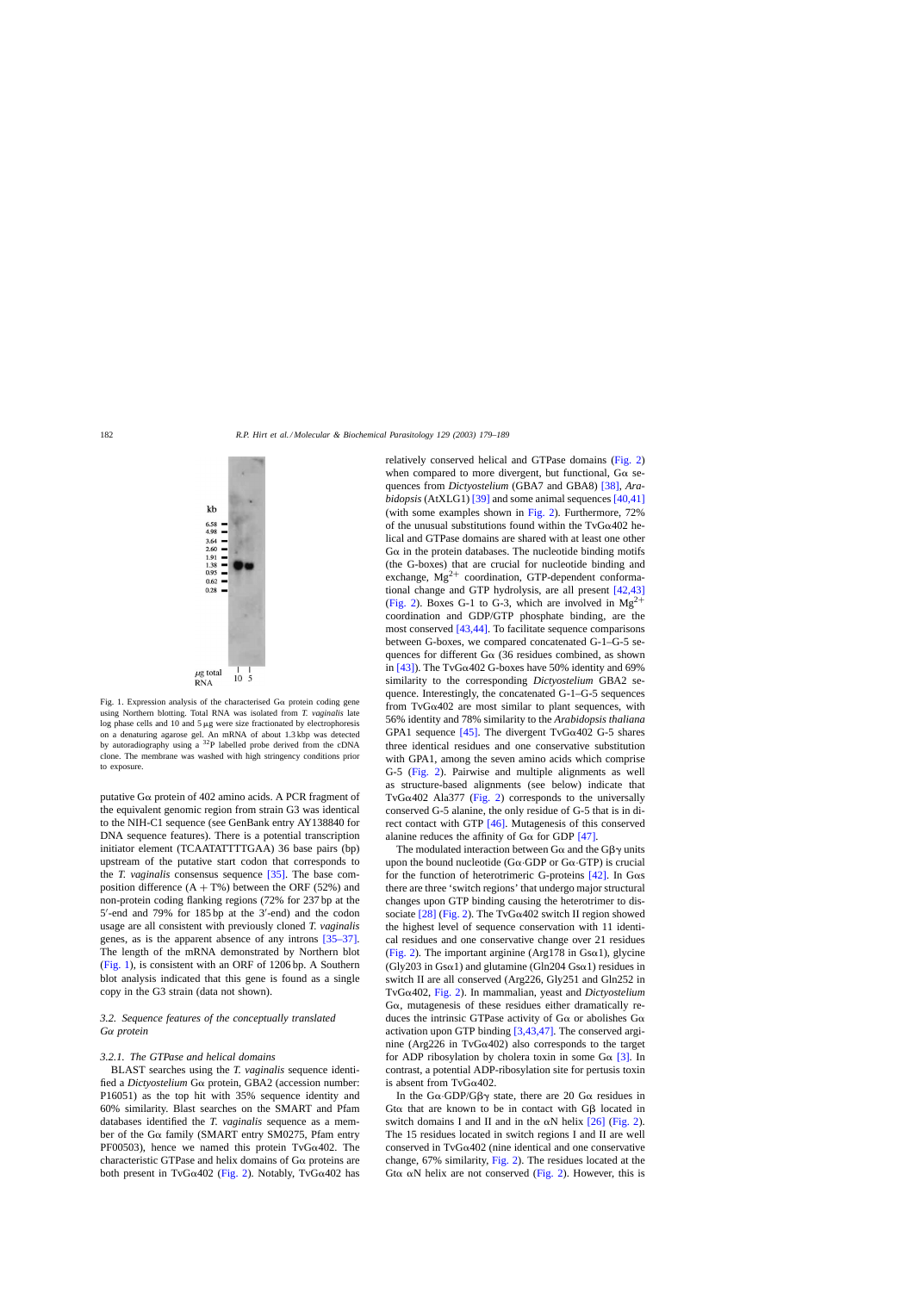<span id="page-3-0"></span>

Fig. 1. Expression analysis of the characterised  $G\alpha$  protein coding gene using Northern blotting. Total RNA was isolated from *T. vaginalis* late log phase cells and 10 and  $5 \mu$ g were size fractionated by electrophoresis on a denaturing agarose gel. An mRNA of about 1.3 kbp was detected by autoradiography using a 32P labelled probe derived from the cDNA clone. The membrane was washed with high stringency conditions prior to exposure.

putative G $\alpha$  protein of 402 amino acids. A PCR fragment of the equivalent genomic region from strain G3 was identical to the NIH-C1 sequence (see GenBank entry AY138840 for DNA sequence features). There is a potential transcription initiator element (TCAATATTTTGAA) 36 base pairs (bp) upstream of the putative start codon that corresponds to the *T. vaginalis* consensus sequence [\[35\].](#page-10-0) The base composition difference  $(A + T\%)$  between the ORF (52%) and non-protein coding flanking regions (72% for 237 bp at the 5 -end and 79% for 185 bp at the 3 -end) and the codon usage are all consistent with previously cloned *T. vaginalis* genes, as is the apparent absence of any introns [\[35–37\].](#page-10-0) The length of the mRNA demonstrated by Northern blot (Fig. 1), is consistent with an ORF of 1206 bp. A Southern blot analysis indicated that this gene is found as a single copy in the G3 strain (data not shown).

## *3.2. Sequence features of the conceptually translated G*α *protein*

#### *3.2.1. The GTPase and helical domains*

BLAST searches using the *T. vaginalis* sequence identified a *Dictyostelium* Gα protein, GBA2 (accession number: P16051) as the top hit with 35% sequence identity and 60% similarity. Blast searches on the SMART and Pfam databases identified the *T. vaginalis* sequence as a member of the G $\alpha$  family (SMART entry SM0275, Pfam entry PF00503), hence we named this protein TvG $\alpha$ 402. The characteristic GTPase and helix domains of  $G\alpha$  proteins are both present in TvG $\alpha$ 402 ([Fig. 2\).](#page-4-0) Notably, TvG $\alpha$ 402 has relatively conserved helical and GTPase domains [\(Fig. 2\)](#page-4-0) when compared to more divergent, but functional,  $G\alpha$  sequences from *Dictyostelium* (GBA7 and GBA8) [\[38\],](#page-10-0) *Arabidopsis* (AtXLG1) [\[39\]](#page-10-0) and some animal sequences [\[40,41\]](#page-10-0) (with some examples shown in [Fig. 2\).](#page-4-0) Furthermore, 72% of the unusual substitutions found within the TvG $\alpha$ 402 helical and GTPase domains are shared with at least one other  $G\alpha$  in the protein databases. The nucleotide binding motifs (the G-boxes) that are crucial for nucleotide binding and exchange,  $Mg^{2+}$  coordination, GTP-dependent conformational change and GTP hydrolysis, are all present [\[42,43\]](#page-10-0) ([Fig. 2\).](#page-4-0) Boxes G-1 to G-3, which are involved in  $Mg^{2+}$ coordination and GDP/GTP phosphate binding, are the most conserved [\[43,44\].](#page-10-0) To facilitate sequence comparisons between G-boxes, we compared concatenated G-1–G-5 sequences for different  $G\alpha$  (36 residues combined, as shown in  $[43]$ ). The TvG $\alpha$ 402 G-boxes have 50% identity and 69% similarity to the corresponding *Dictyostelium* GBA2 sequence. Interestingly, the concatenated G-1–G-5 sequences from  $TvG\alpha402$  are most similar to plant sequences, with 56% identity and 78% similarity to the *Arabidopsis thaliana* GPA1 sequence [\[45\].](#page-10-0) The divergent  $TvG\alpha402$  G-5 shares three identical residues and one conservative substitution with GPA1, among the seven amino acids which comprise G-5 ([Fig. 2\)](#page-4-0). Pairwise and multiple alignments as well as structure-based alignments (see below) indicate that TvG $\alpha$ 402 Ala377 [\(Fig. 2\)](#page-4-0) corresponds to the universally conserved G-5 alanine, the only residue of G-5 that is in direct contact with GTP [\[46\].](#page-10-0) Mutagenesis of this conserved alanine reduces the affinity of  $G\alpha$  for GDP [\[47\].](#page-10-0)

The modulated interaction between G $\alpha$  and the G $\beta\gamma$  units upon the bound nucleotide ( $G\alpha$ ·GDP or  $G\alpha$ ·GTP) is crucial for the function of heterotrimeric G-proteins  $[42]$ . In G $\alpha$ s there are three 'switch regions' that undergo major structural changes upon GTP binding causing the heterotrimer to dissociate  $[28]$  ([Fig. 2\).](#page-4-0) The TvG $\alpha$ 402 switch II region showed the highest level of sequence conservation with 11 identical residues and one conservative change over 21 residues ([Fig. 2\).](#page-4-0) The important arginine (Arg178 in  $\text{Gsa1}$ ), glycine (Gly203 in Gs $\alpha$ 1) and glutamine (Gln204 Gs $\alpha$ 1) residues in switch II are all conserved (Arg226, Gly251 and Gln252 in TvG402, [Fig. 2\).](#page-4-0) In mammalian, yeast and *Dictyostelium*  $G\alpha$ , mutagenesis of these residues either dramatically reduces the intrinsic GTPase activity of  $G\alpha$  or abolishes  $G\alpha$ activation upon GTP binding [\[3,43,47\].](#page-9-0) The conserved arginine (Arg226 in TvG $\alpha$ 402) also corresponds to the target for ADP ribosylation by cholera toxin in some  $G\alpha$  [\[3\].](#page-9-0) In contrast, a potential ADP-ribosylation site for pertusis toxin is absent from  $TvG\alpha402$ .

In the  $G\alpha$  GDP/G $\beta\gamma$  state, there are 20  $G\alpha$  residues in Gt $\alpha$  that are known to be in contact with G $\beta$  located in switch domains I and II and in the  $\alpha$ N helix [\[26\]](#page-9-0) ([Fig. 2\).](#page-4-0) The 15 residues located in switch regions I and II are well conserved in  $TvG\alpha402$  (nine identical and one conservative change, 67% similarity, [Fig. 2\).](#page-4-0) The residues located at the Gt $\alpha$   $\alpha$ N helix are not conserved ([Fig. 2\).](#page-4-0) However, this is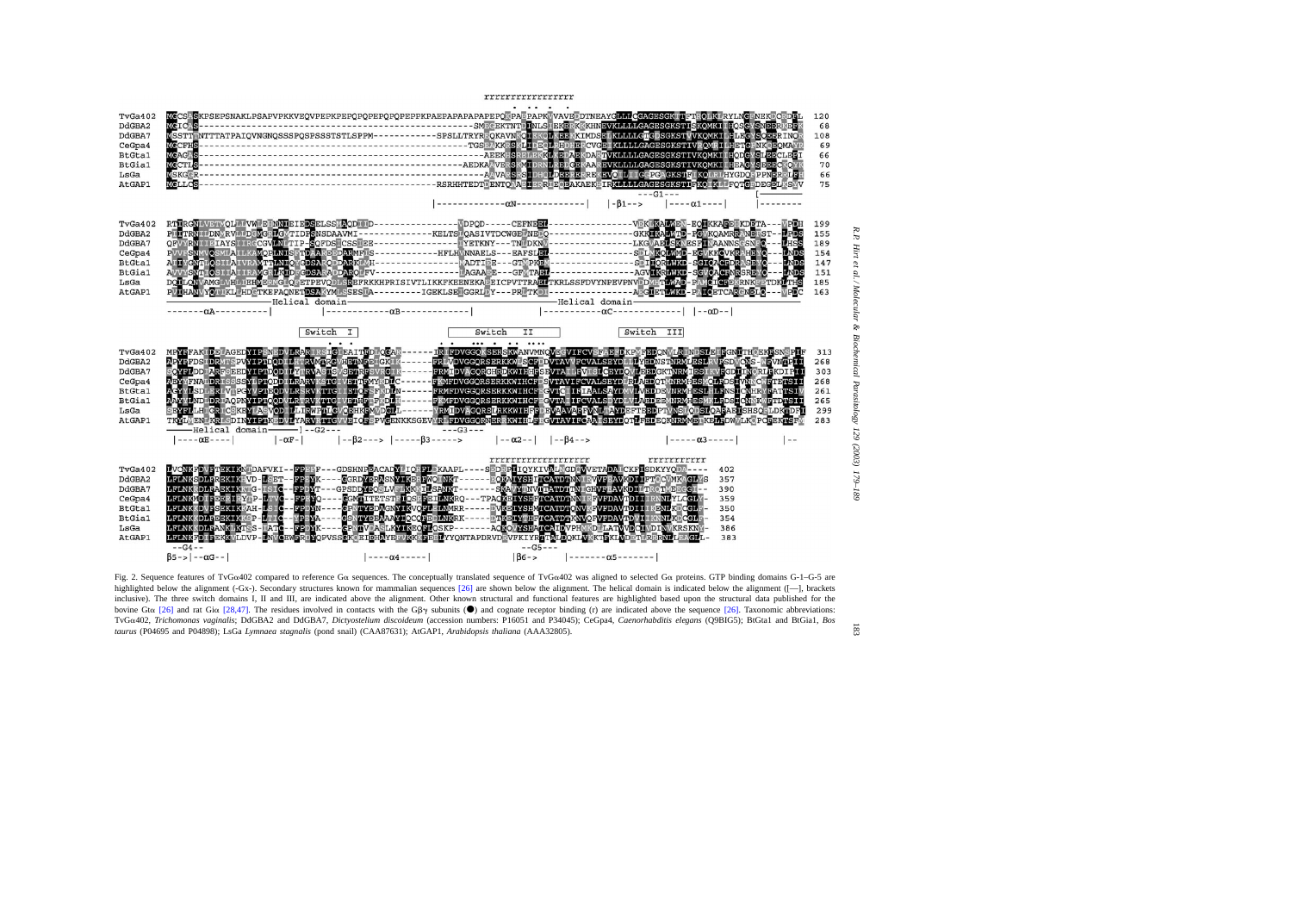<span id="page-4-0"></span>

Fig. 2. Sequence features of TvG $\alpha$ 402 compared to reference G $\alpha$  sequences. The conceptually translated sequence of TvG $\alpha$ 402 was aligned to selected G $\alpha$  proteins. GTP binding domains G-1-G-5 are highlighted below t  $\gamma$  subunits ( $\bullet$ ) and cognate receptor binding (r) are indicated above the sequence [\[26\].](#page-9-0) Taxonomic abbreviations: TvGα402, Trichomonas vaginalis; DdGBA2 and DdGBA7, Dictyostelium discoideum (accession numbers: P16051 and P34045); CeGpa4, Caenorhabditis elegans (Q9BIG5); BtGta1 and BtGia1, Bos *taurus* (P04695 and P04898); LsGa *Lymnaea stagnalis* (pond snail) (CAA87631); AtGAP1, *Arabidopsis thaliana* (AAA32805).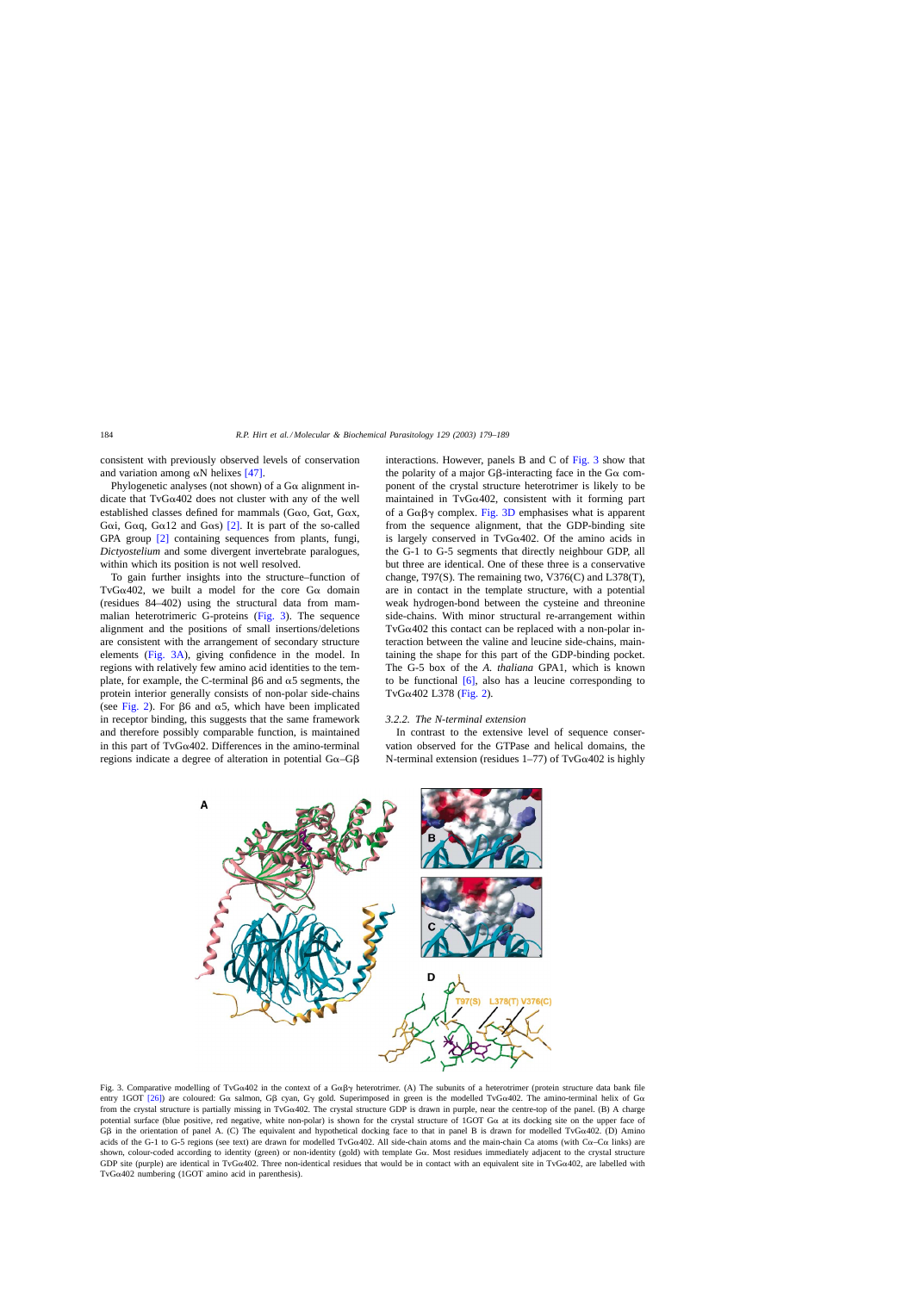consistent with previously observed levels of conservation and variation among  $\alpha$ N helixes [\[47\].](#page-10-0)

Phylogenetic analyses (not shown) of a  $G\alpha$  alignment indicate that  $TvG\alpha402$  does not cluster with any of the well established classes defined for mammals ( $G\alpha$ o,  $G\alpha$ t,  $G\alpha$ x, Goi, Goi, Goi, Goi, Goi, and Goi,  $[2]$ . It is part of the so-called GPA group [\[2\]](#page-9-0) containing sequences from plants, fungi, *Dictyostelium* and some divergent invertebrate paralogues, within which its position is not well resolved.

To gain further insights into the structure–function of TvG $\alpha$ 402, we built a model for the core G $\alpha$  domain (residues 84–402) using the structural data from mammalian heterotrimeric G-proteins (Fig. 3). The sequence alignment and the positions of small insertions/deletions are consistent with the arrangement of secondary structure elements (Fig. 3A), giving confidence in the model. In regions with relatively few amino acid identities to the template, for example, the C-terminal  $\beta$ 6 and  $\alpha$ 5 segments, the protein interior generally consists of non-polar side-chains (see [Fig. 2\).](#page-4-0) For  $\beta$ 6 and  $\alpha$ 5, which have been implicated in receptor binding, this suggests that the same framework and therefore possibly comparable function, is maintained in this part of TvG $\alpha$ 402. Differences in the amino-terminal regions indicate a degree of alteration in potential  $Ga - G\beta$  interactions. However, panels B and C of Fig. 3 show that the polarity of a major G $\beta$ -interacting face in the G $\alpha$  component of the crystal structure heterotrimer is likely to be maintained in TvG $\alpha$ 402, consistent with it forming part of a  $G\alpha\beta\gamma$  complex. Fig. 3D emphasises what is apparent from the sequence alignment, that the GDP-binding site is largely conserved in TvG $\alpha$ 402. Of the amino acids in the G-1 to G-5 segments that directly neighbour GDP, all but three are identical. One of these three is a conservative change, T97(S). The remaining two, V376(C) and L378(T), are in contact in the template structure, with a potential weak hydrogen-bond between the cysteine and threonine side-chains. With minor structural re-arrangement within TvG $\alpha$ 402 this contact can be replaced with a non-polar interaction between the valine and leucine side-chains, maintaining the shape for this part of the GDP-binding pocket. The G-5 box of the *A. thaliana* GPA1, which is known to be functional  $[6]$ , also has a leucine corresponding to TvG $\alpha$ 402 L378 [\(Fig. 2\).](#page-4-0)

## *3.2.2. The N-terminal extension*

In contrast to the extensive level of sequence conservation observed for the GTPase and helical domains, the N-terminal extension (residues  $1-77$ ) of TvG $\alpha$ 402 is highly



Fig. 3. Comparative modelling of TvG $\alpha$ 402 in the context of a G $\alpha\beta\gamma$  heterotrimer. (A) The subunits of a heterotrimer (protein structure data bank file entry 1GOT [\[26\]\)](#page-9-0) are coloured: G $\alpha$  salmon, G $\beta$  cyan, G $\gamma$  gold. Superimposed in green is the modelled TvG $\alpha$ 402. The amino-terminal helix of G $\alpha$ from the crystal structure is partially missing in TvG $\alpha$ 402. The crystal structure GDP is drawn in purple, near the centre-top of the panel. (B) A charge potential surface (blue positive, red negative, white non-polar) is shown for the crystal structure of 1GOT  $G\alpha$  at its docking site on the upper face of G $\beta$  in the orientation of panel A. (C) The equivalent and hypothetical docking face to that in panel B is drawn for modelled TvG $\alpha$ 402. (D) Amino acids of the G-1 to G-5 regions (see text) are drawn for modelled TvG $\alpha$ 402. All side-chain atoms and the main-chain Ca atoms (with C $\alpha$ –C $\alpha$  links) are shown, colour-coded according to identity (green) or non-identity (gold) with template Gα. Most residues immediately adjacent to the crystal structure GDP site (purple) are identical in TvG $\alpha$ 402. Three non-identical residues that would be in contact with an equivalent site in TvG $\alpha$ 402, are labelled with TvG $\alpha$ 402 numbering (1GOT amino acid in parenthesis).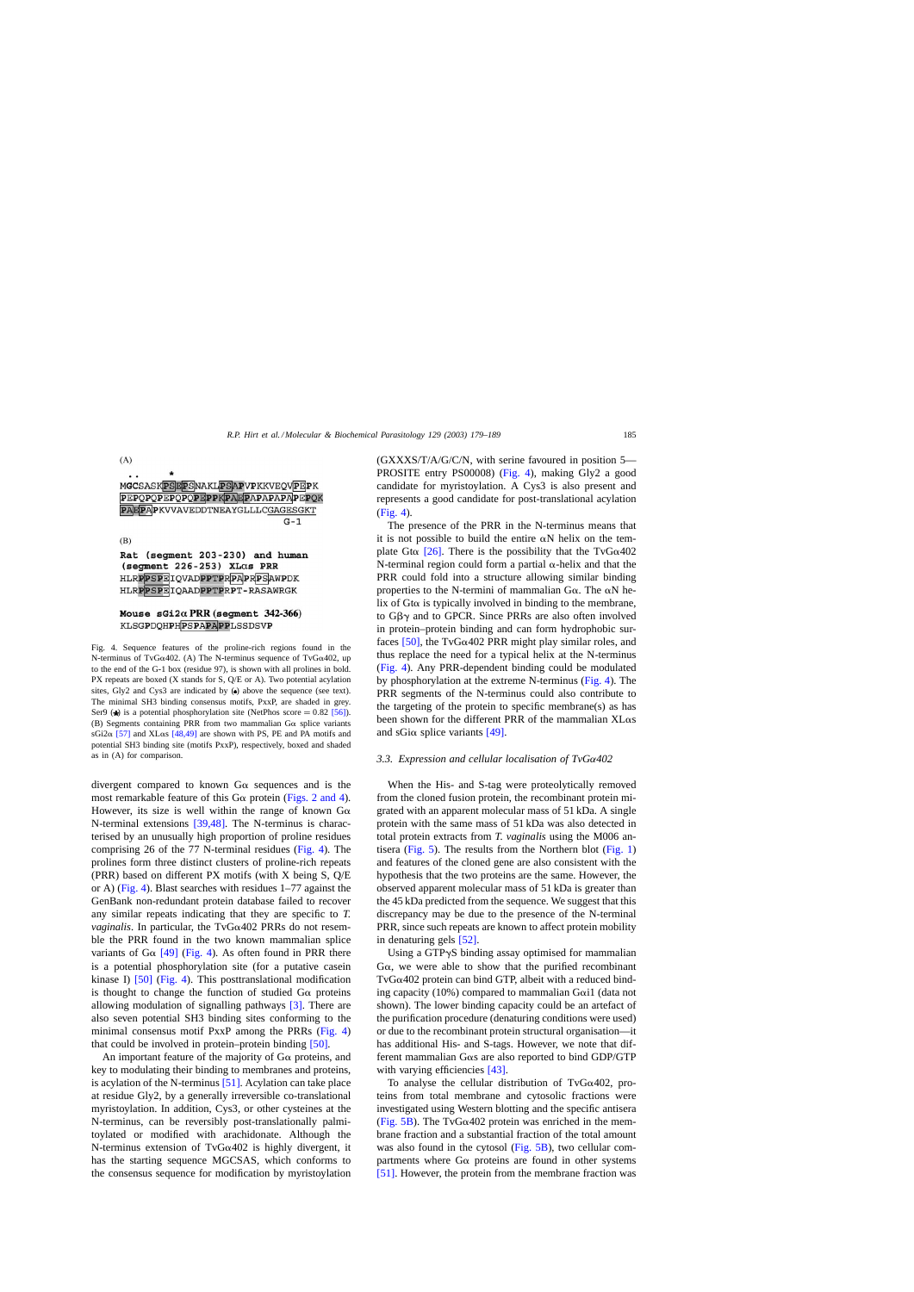

Rat (segment 203-230) and human (segment  $226-253$ ) XL $\alpha$ s PRR HLRPPSPEIQVADPPTPRPAPRPSAWPDK HLRPPSPEIOAADPPTPRPT-RASAWRGK

## Mouse  $sGi2\alpha$  PRR (segment 342-366) KLSGPDOHPHPSPAPAPPLSSDSVP

Fig. 4. Sequence features of the proline-rich regions found in the N-terminus of TvG $\alpha$ 402. (A) The N-terminus sequence of TvG $\alpha$ 402, up to the end of the G-1 box (residue 97), is shown with all prolines in bold. PX repeats are boxed (X stands for S, Q/E or A). Two potential acylation sites, Gly2 and Cys3 are indicated by  $\left( \cdot \right)$  above the sequence (see text). The minimal SH3 binding consensus motifs, PxxP, are shaded in grey. Ser9 ( $\star$ ) is a potential phosphorylation site (NetPhos score = 0.82 [\[56\]\).](#page-10-0) (B) Segments containing PRR from two mammalian  $G\alpha$  splice variants sGi2 $\alpha$  [\[57\]](#page-10-0) and XL $\alpha$ s [\[48,49\]](#page-10-0) are shown with PS, PE and PA motifs and potential SH3 binding site (motifs PxxP), respectively, boxed and shaded as in (A) for comparison.

divergent compared to known  $G\alpha$  sequences and is the most remarkable feature of this  $G\alpha$  protein ([Figs. 2 and 4\).](#page-4-0) However, its size is well within the range of known  $G\alpha$ N-terminal extensions [\[39,48\].](#page-10-0) The N-terminus is characterised by an unusually high proportion of proline residues comprising 26 of the 77 N-terminal residues (Fig. 4). The prolines form three distinct clusters of proline-rich repeats (PRR) based on different PX motifs (with X being S, Q/E or A) (Fig. 4). Blast searches with residues 1–77 against the GenBank non-redundant protein database failed to recover any similar repeats indicating that they are specific to *T. vaginalis*. In particular, the  $TvG\alpha402$  PRRs do not resemble the PRR found in the two known mammalian splice variants of G $\alpha$  [\[49\]](#page-10-0) (Fig. 4). As often found in PRR there is a potential phosphorylation site (for a putative casein kinase I) [\[50\]](#page-10-0) (Fig. 4). This posttranslational modification is thought to change the function of studied  $G\alpha$  proteins allowing modulation of signalling pathways [\[3\].](#page-9-0) There are also seven potential SH3 binding sites conforming to the minimal consensus motif PxxP among the PRRs (Fig. 4) that could be involved in protein–protein binding [\[50\].](#page-10-0)

An important feature of the majority of  $G\alpha$  proteins, and key to modulating their binding to membranes and proteins, is acylation of the N-terminus [\[51\].](#page-10-0) Acylation can take place at residue Gly2, by a generally irreversible co-translational myristoylation. In addition, Cys3, or other cysteines at the N-terminus, can be reversibly post-translationally palmitoylated or modified with arachidonate. Although the N-terminus extension of TvG $\alpha$ 402 is highly divergent, it has the starting sequence MGCSAS, which conforms to the consensus sequence for modification by myristoylation (GXXXS/T/A/G/C/N, with serine favoured in position 5— PROSITE entry PS00008) (Fig. 4), making Gly2 a good candidate for myristoylation. A Cys3 is also present and represents a good candidate for post-translational acylation (Fig. 4).

The presence of the PRR in the N-terminus means that it is not possible to build the entire  $\alpha N$  helix on the template Gt $\alpha$  [\[26\].](#page-9-0) There is the possibility that the TvG $\alpha$ 402 N-terminal region could form a partial  $\alpha$ -helix and that the PRR could fold into a structure allowing similar binding properties to the N-termini of mammalian  $G\alpha$ . The  $\alpha N$  helix of  $G$ t $\alpha$  is typically involved in binding to the membrane, to  $G\beta\gamma$  and to GPCR. Since PRRs are also often involved in protein–protein binding and can form hydrophobic surfaces  $[50]$ , the TvG $\alpha$ 402 PRR might play similar roles, and thus replace the need for a typical helix at the N-terminus (Fig. 4). Any PRR-dependent binding could be modulated by phosphorylation at the extreme N-terminus (Fig. 4). The PRR segments of the N-terminus could also contribute to the targeting of the protein to specific membrane(s) as has been shown for the different PRR of the mammalian  $X$ L $\alpha$ s and sGi $\alpha$  splice variants [\[49\].](#page-10-0)

#### *3.3. Expression and cellular localisation of TvG*α*402*

When the His- and S-tag were proteolytically removed from the cloned fusion protein, the recombinant protein migrated with an apparent molecular mass of 51 kDa. A single protein with the same mass of 51 kDa was also detected in total protein extracts from *T. vaginalis* using the M006 antisera ([Fig. 5\).](#page-7-0) The results from the Northern blot ([Fig. 1\)](#page-3-0) and features of the cloned gene are also consistent with the hypothesis that the two proteins are the same. However, the observed apparent molecular mass of 51 kDa is greater than the 45 kDa predicted from the sequence. We suggest that this discrepancy may be due to the presence of the N-terminal PRR, since such repeats are known to affect protein mobility in denaturing gels [\[52\].](#page-10-0)

Using a GTPyS binding assay optimised for mammalian  $G\alpha$ , we were able to show that the purified recombinant  $TvG\alpha402$  protein can bind GTP, albeit with a reduced binding capacity (10%) compared to mammalian G $\alpha$ i1 (data not shown). The lower binding capacity could be an artefact of the purification procedure (denaturing conditions were used) or due to the recombinant protein structural organisation—it has additional His- and S-tags. However, we note that different mammalian G $\alpha$ s are also reported to bind GDP/GTP with varying efficiencies [\[43\].](#page-10-0)

To analyse the cellular distribution of TvG $\alpha$ 402, proteins from total membrane and cytosolic fractions were investigated using Western blotting and the specific antisera ([Fig. 5B\).](#page-7-0) The TvG $\alpha$ 402 protein was enriched in the membrane fraction and a substantial fraction of the total amount was also found in the cytosol [\(Fig. 5B\),](#page-7-0) two cellular compartments where  $G\alpha$  proteins are found in other systems [\[51\].](#page-10-0) However, the protein from the membrane fraction was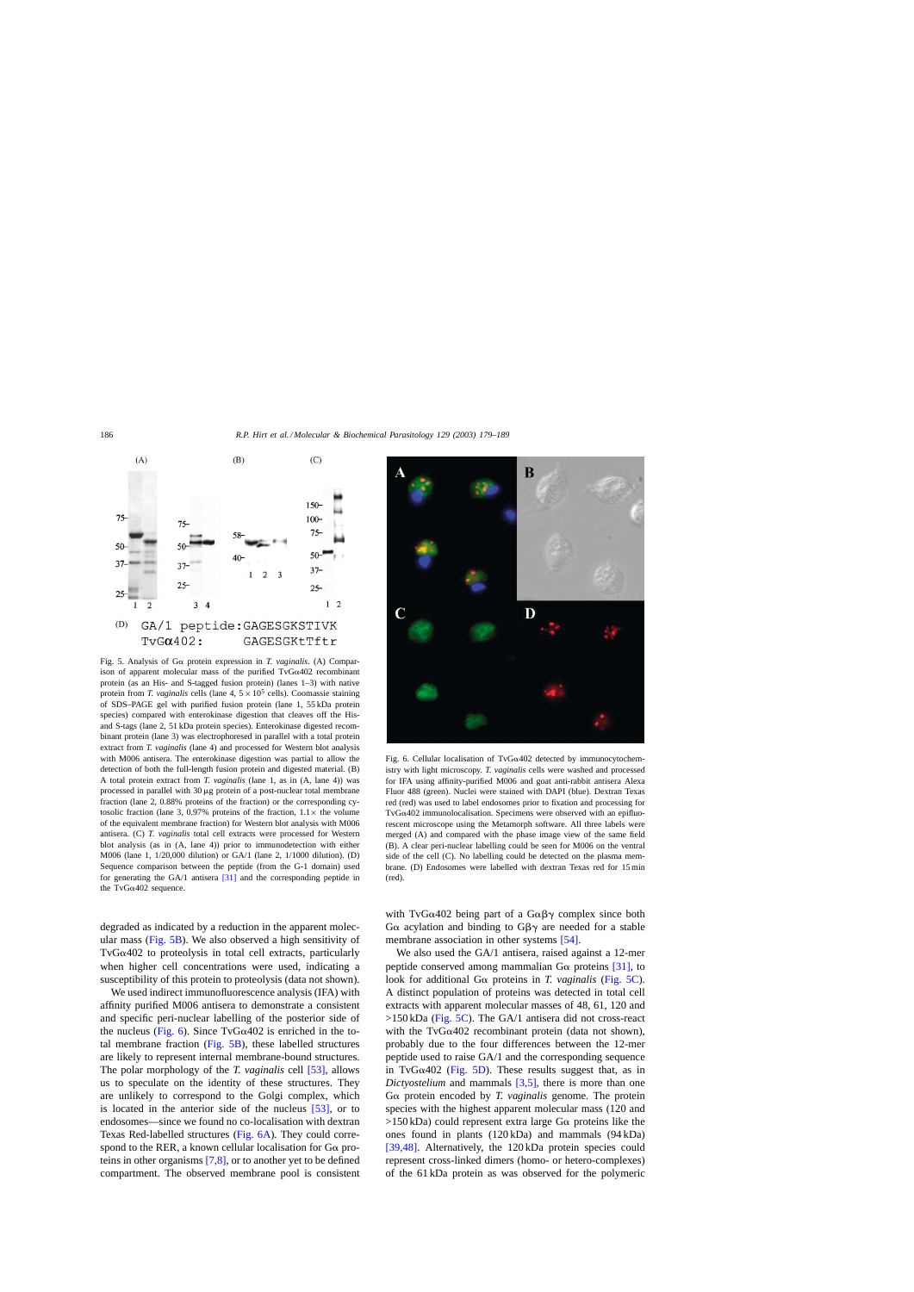<span id="page-7-0"></span>

ison of apparent molecular mass of the purified  $TvG\alpha402$  recombinant protein (as an His- and S-tagged fusion protein) (lanes 1–3) with native protein from *T. vaginalis* cells (lane  $4.5 \times 10^5$  cells). Coomassie staining of SDS–PAGE gel with purified fusion protein (lane 1, 55 kDa protein species) compared with enterokinase digestion that cleaves off the Hisand S-tags (lane 2, 51 kDa protein species). Enterokinase digested recombinant protein (lane 3) was electrophoresed in parallel with a total protein extract from *T. vaginalis* (lane 4) and processed for Western blot analysis with M006 antisera. The enterokinase digestion was partial to allow the detection of both the full-length fusion protein and digested material. (B) A total protein extract from *T. vaginalis* (lane 1, as in (A, lane 4)) was processed in parallel with  $30 \mu$ g protein of a post-nuclear total membrane fraction (lane 2, 0.88% proteins of the fraction) or the corresponding cytosolic fraction (lane 3, 0.97% proteins of the fraction,  $1.1 \times$  the volume of the equivalent membrane fraction) for Western blot analysis with M006 antisera. (C) *T. vaginalis* total cell extracts were processed for Western blot analysis (as in (A, lane 4)) prior to immunodetection with either M006 (lane 1, 1/20,000 dilution) or GA/1 (lane 2, 1/1000 dilution). (D) Sequence comparison between the peptide (from the G-1 domain) used for generating the GA/1 antisera [\[31\]](#page-9-0) and the corresponding peptide in the TvG $\alpha$ 402 sequence.

degraded as indicated by a reduction in the apparent molecular mass (Fig. 5B). We also observed a high sensitivity of  $TvG\alpha402$  to proteolysis in total cell extracts, particularly when higher cell concentrations were used, indicating a susceptibility of this protein to proteolysis (data not shown).

We used indirect immunofluorescence analysis (IFA) with affinity purified M006 antisera to demonstrate a consistent and specific peri-nuclear labelling of the posterior side of the nucleus (Fig. 6). Since  $TvG\alpha402$  is enriched in the total membrane fraction (Fig. 5B), these labelled structures are likely to represent internal membrane-bound structures. The polar morphology of the *T. vaginalis* cell [\[53\],](#page-10-0) allows us to speculate on the identity of these structures. They are unlikely to correspond to the Golgi complex, which is located in the anterior side of the nucleus [\[53\],](#page-10-0) or to endosomes—since we found no co-localisation with dextran Texas Red-labelled structures (Fig. 6A). They could correspond to the RER, a known cellular localisation for  $G\alpha$  proteins in other organisms [\[7,8\],](#page-9-0) or to another yet to be defined compartment. The observed membrane pool is consistent



Fig. 6. Cellular localisation of TvG $\alpha$ 402 detected by immunocytochemistry with light microscopy. *T. vaginalis* cells were washed and processed for IFA using affinity-purified M006 and goat anti-rabbit antisera Alexa Fluor 488 (green). Nuclei were stained with DAPI (blue). Dextran Texas red (red) was used to label endosomes prior to fixation and processing for  $TvG\alpha402$  immunolocalisation. Specimens were observed with an epifluorescent microscope using the Metamorph software. All three labels were merged (A) and compared with the phase image view of the same field (B). A clear peri-nuclear labelling could be seen for M006 on the ventral side of the cell (C). No labelling could be detected on the plasma membrane. (D) Endosomes were labelled with dextran Texas red for 15 min (red).

with TvG $\alpha$ 402 being part of a G $\alpha\beta\gamma$  complex since both G $\alpha$  acylation and binding to G $\beta\gamma$  are needed for a stable membrane association in other systems [\[54\].](#page-10-0)

We also used the GA/1 antisera, raised against a 12-mer peptide conserved among mammalian  $G\alpha$  proteins [\[31\],](#page-9-0) to look for additional G $\alpha$  proteins in *T. vaginalis* (Fig. 5C). A distinct population of proteins was detected in total cell extracts with apparent molecular masses of 48, 61, 120 and  $>150$  kDa (Fig. 5C). The GA/1 antisera did not cross-react with the  $TvG\alpha402$  recombinant protein (data not shown), probably due to the four differences between the 12-mer peptide used to raise GA/1 and the corresponding sequence in TvG $\alpha$ 402 (Fig. 5D). These results suggest that, as in *Dictyostelium* and mammals [\[3,5\],](#page-9-0) there is more than one G $\alpha$  protein encoded by *T. vaginalis* genome. The protein species with the highest apparent molecular mass (120 and  $>150$  kDa) could represent extra large G $\alpha$  proteins like the ones found in plants (120 kDa) and mammals (94 kDa) [\[39,48\].](#page-10-0) Alternatively, the 120 kDa protein species could represent cross-linked dimers (homo- or hetero-complexes) of the 61 kDa protein as was observed for the polymeric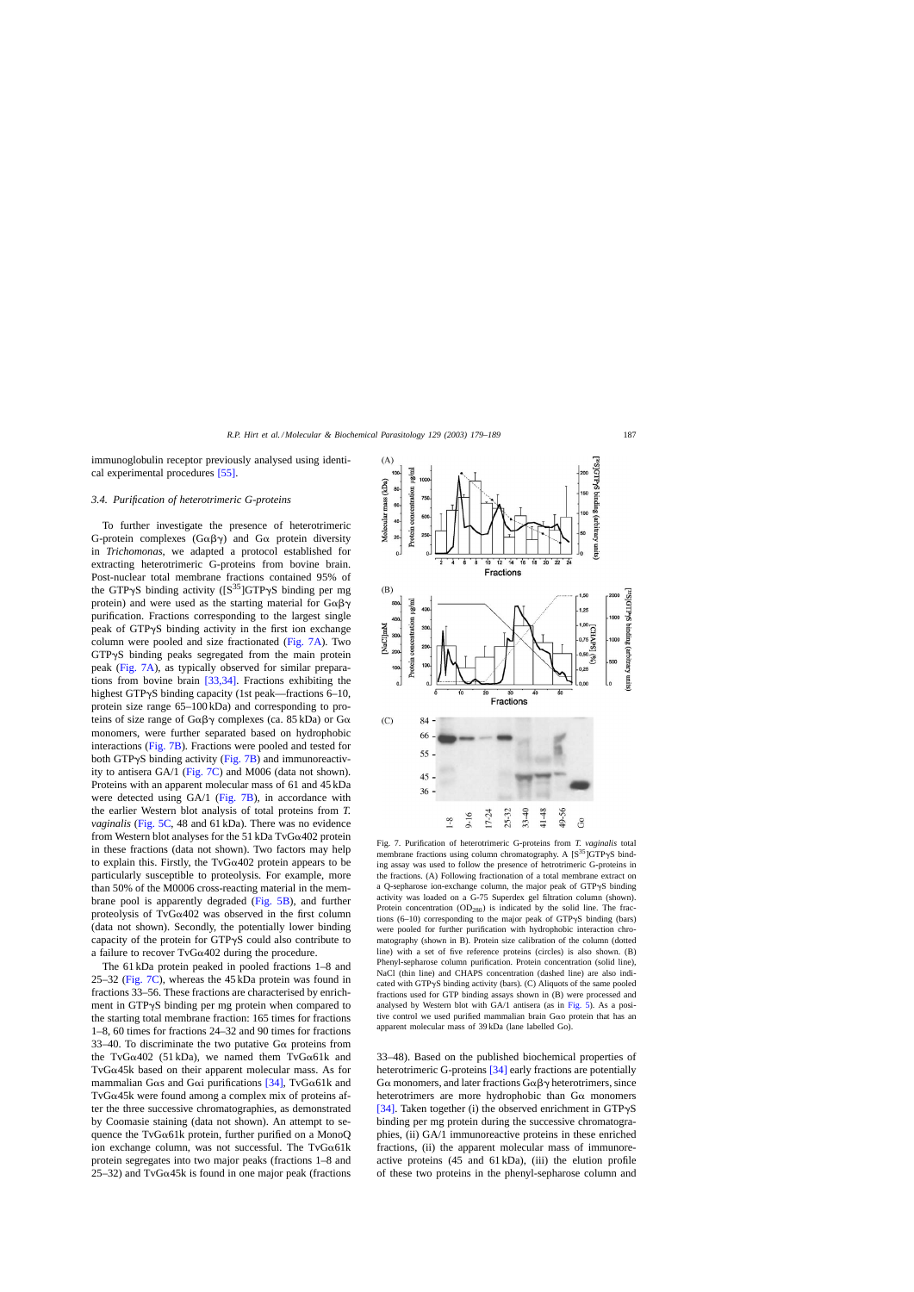immunoglobulin receptor previously analysed using identical experimental procedures [\[55\].](#page-10-0)

## *3.4. Purification of heterotrimeric G-proteins*

To further investigate the presence of heterotrimeric G-protein complexes ( $G\alpha\beta\gamma$ ) and  $G\alpha$  protein diversity in *Trichomonas*, we adapted a protocol established for extracting heterotrimeric G-proteins from bovine brain. Post-nuclear total membrane fractions contained 95% of the GTP $\gamma$ S binding activity ([S<sup>35</sup>]GTP $\gamma$ S binding per mg protein) and were used as the starting material for  $G\alpha\beta\gamma$ purification. Fractions corresponding to the largest single peak of GTP $\gamma$ S binding activity in the first ion exchange column were pooled and size fractionated (Fig. 7A). Two GTPyS binding peaks segregated from the main protein peak (Fig. 7A), as typically observed for similar preparations from bovine brain [\[33,34\].](#page-9-0) Fractions exhibiting the highest GTP $\gamma$ S binding capacity (1st peak—fractions 6–10, protein size range 65–100 kDa) and corresponding to proteins of size range of  $G\alpha\beta\gamma$  complexes (ca. 85 kDa) or  $G\alpha$ monomers, were further separated based on hydrophobic interactions (Fig. 7B). Fractions were pooled and tested for both GTPyS binding activity (Fig. 7B) and immunoreactivity to antisera GA/1 (Fig. 7C) and M006 (data not shown). Proteins with an apparent molecular mass of 61 and 45 kDa were detected using GA/1 (Fig. 7B), in accordance with the earlier Western blot analysis of total proteins from *T. vaginalis* [\(Fig. 5C,](#page-7-0) 48 and 61 kDa). There was no evidence from Western blot analyses for the 51 kDa TvG $\alpha$ 402 protein in these fractions (data not shown). Two factors may help to explain this. Firstly, the  $TvG\alpha402$  protein appears to be particularly susceptible to proteolysis. For example, more than 50% of the M0006 cross-reacting material in the membrane pool is apparently degraded [\(Fig. 5B\),](#page-7-0) and further proteolysis of TvG $\alpha$ 402 was observed in the first column (data not shown). Secondly, the potentially lower binding capacity of the protein for  $GTP\gamma S$  could also contribute to a failure to recover  $TvG\alpha402$  during the procedure.

The 61 kDa protein peaked in pooled fractions 1–8 and 25–32 (Fig. 7C), whereas the 45 kDa protein was found in fractions 33–56. These fractions are characterised by enrichment in  $GTP\gamma S$  binding per mg protein when compared to the starting total membrane fraction: 165 times for fractions 1–8, 60 times for fractions 24–32 and 90 times for fractions 33–40. To discriminate the two putative  $G\alpha$  proteins from the TvG $\alpha$ 402 (51 kDa), we named them TvG $\alpha$ 61k and TvG $\alpha$ 45k based on their apparent molecular mass. As for mammalian G $\alpha$ s and G $\alpha$ i purifications [\[34\],](#page-9-0) TvG $\alpha$ 61k and TvG $\alpha$ 45k were found among a complex mix of proteins after the three successive chromatographies, as demonstrated by Coomasie staining (data not shown). An attempt to sequence the TvG $\alpha$ 61k protein, further purified on a MonoQ ion exchange column, was not successful. The TvG $\alpha$ 61k protein segregates into two major peaks (fractions 1–8 and 25–32) and TvG $\alpha$ 45k is found in one major peak (fractions

Fig. 7. Purification of heterotrimeric G-proteins from *T. vaginalis* total membrane fractions using column chromatography. A  $[S^{35}]GTP\gamma S$  binding assay was used to follow the presence of hetrotrimeric G-proteins in the fractions. (A) Following fractionation of a total membrane extract on a Q-sepharose ion-exchange column, the major peak of GTPyS binding activity was loaded on a G-75 Superdex gel filtration column (shown). Protein concentration  $(OD<sub>280</sub>)$  is indicated by the solid line. The fractions  $(6-10)$  corresponding to the major peak of GTP $\gamma$ S binding (bars) were pooled for further purification with hydrophobic interaction chromatography (shown in B). Protein size calibration of the column (dotted line) with a set of five reference proteins (circles) is also shown. (B) Phenyl-sepharose column purification. Protein concentration (solid line), NaCl (thin line) and CHAPS concentration (dashed line) are also indicated with GTP $\gamma$ S binding activity (bars). (C) Aliquots of the same pooled fractions used for GTP binding assays shown in (B) were processed and analysed by Western blot with GA/1 antisera (as in [Fig. 5\).](#page-7-0) As a positive control we used purified mammalian brain  $G\alpha$ o protein that has an apparent molecular mass of 39 kDa (lane labelled Go).

33–48). Based on the published biochemical properties of heterotrimeric G-proteins [\[34\]](#page-9-0) early fractions are potentially  $G\alpha$  monomers, and later fractions  $G\alpha\beta\gamma$  heterotrimers, since heterotrimers are more hydrophobic than  $G\alpha$  monomers [\[34\].](#page-9-0) Taken together (i) the observed enrichment in  $GTP\gamma S$ binding per mg protein during the successive chromatographies, (ii) GA/1 immunoreactive proteins in these enriched fractions, (ii) the apparent molecular mass of immunoreactive proteins (45 and 61 kDa), (iii) the elution profile of these two proteins in the phenyl-sepharose column and



 $(A)$ 

80

60 40 concentration ug/ml

 $750$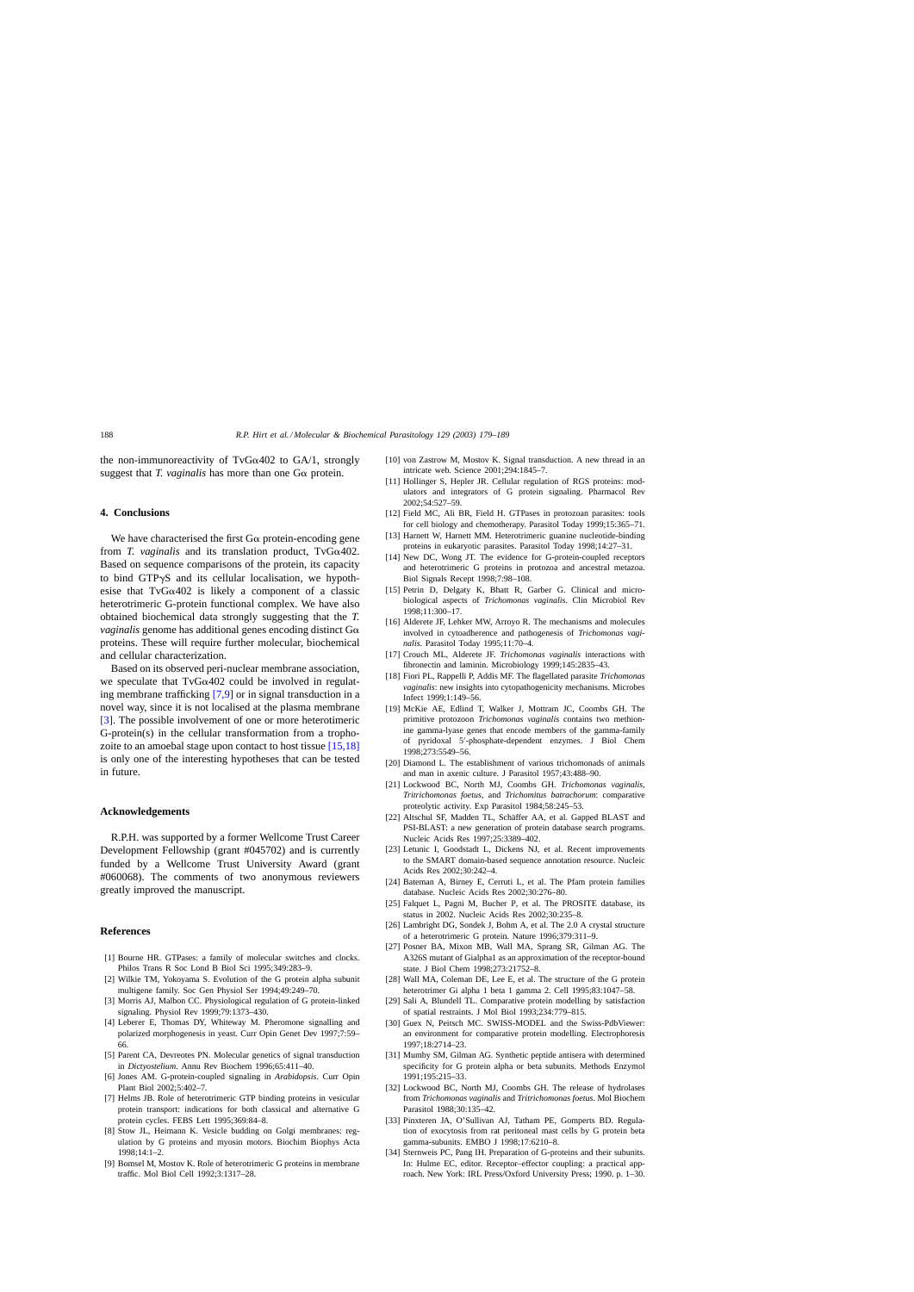<span id="page-9-0"></span>the non-immunoreactivity of  $TvG\alpha402$  to  $GA/1$ , strongly suggest that *T. vaginalis* has more than one  $G\alpha$  protein.

#### **4. Conclusions**

We have characterised the first  $G\alpha$  protein-encoding gene from *T. vaginalis* and its translation product,  $TvG\alpha402$ . Based on sequence comparisons of the protein, its capacity to bind GTP $\gamma$ S and its cellular localisation, we hypothesise that TvG $\alpha$ 402 is likely a component of a classic heterotrimeric G-protein functional complex. We have also obtained biochemical data strongly suggesting that the *T. vaginalis* genome has additional genes encoding distinct  $G\alpha$ proteins. These will require further molecular, biochemical and cellular characterization.

Based on its observed peri-nuclear membrane association, we speculate that  $TvG\alpha402$  could be involved in regulating membrane trafficking [7,9] or in signal transduction in a novel way, since it is not localised at the plasma membrane [3]. The possible involvement of one or more heterotimeric G-protein(s) in the cellular transformation from a trophozoite to an amoebal stage upon contact to host tissue [15,18] is only one of the interesting hypotheses that can be tested in future.

#### **Acknowledgements**

R.P.H. was supported by a former Wellcome Trust Career Development Fellowship (grant #045702) and is currently funded by a Wellcome Trust University Award (grant #060068). The comments of two anonymous reviewers greatly improved the manuscript.

## **References**

- [1] Bourne HR. GTPases: a family of molecular switches and clocks. Philos Trans R Soc Lond B Biol Sci 1995;349:283–9.
- [2] Wilkie TM, Yokoyama S. Evolution of the G protein alpha subunit multigene family. Soc Gen Physiol Ser 1994;49:249–70.
- [3] Morris AJ, Malbon CC. Physiological regulation of G protein-linked signaling. Physiol Rev 1999;79:1373–430.
- [4] Leberer E, Thomas DY, Whiteway M. Pheromone signalling and polarized morphogenesis in yeast. Curr Opin Genet Dev 1997;7:59– 66.
- [5] Parent CA, Devreotes PN. Molecular genetics of signal transduction in *Dictyostelium*. Annu Rev Biochem 1996;65:411–40.
- [6] Jones AM. G-protein-coupled signaling in *Arabidopsis*. Curr Opin Plant Biol 2002;5:402–7.
- [7] Helms JB. Role of heterotrimeric GTP binding proteins in vesicular protein transport: indications for both classical and alternative G protein cycles. FEBS Lett 1995;369:84–8.
- [8] Stow JL, Heimann K. Vesicle budding on Golgi membranes: regulation by G proteins and myosin motors. Biochim Biophys Acta 1998;14:1–2.
- [9] Bomsel M, Mostov K. Role of heterotrimeric G proteins in membrane traffic. Mol Biol Cell 1992;3:1317–28.
- [10] von Zastrow M, Mostov K. Signal transduction. A new thread in an intricate web. Science 2001;294:1845–7.
- [11] Hollinger S, Hepler JR. Cellular regulation of RGS proteins: modulators and integrators of G protein signaling. Pharmacol Rev 2002;54:527–59.
- [12] Field MC, Ali BR, Field H. GTPases in protozoan parasites: tools for cell biology and chemotherapy. Parasitol Today 1999;15:365–71.
- [13] Harnett W, Harnett MM. Heterotrimeric guanine nucleotide-binding proteins in eukaryotic parasites. Parasitol Today 1998;14:27–31.
- [14] New DC, Wong JT. The evidence for G-protein-coupled receptors and heterotrimeric G proteins in protozoa and ancestral metazoa. Biol Signals Recept 1998;7:98–108.
- [15] Petrin D, Delgaty K, Bhatt R, Garber G. Clinical and microbiological aspects of *Trichomonas vaginalis*. Clin Microbiol Rev 1998;11:300–17.
- [16] Alderete JF, Lehker MW, Arroyo R. The mechanisms and molecules involved in cytoadherence and pathogenesis of *Trichomonas vaginalis*. Parasitol Today 1995;11:70–4.
- [17] Crouch ML, Alderete JF. *Trichomonas vaginalis* interactions with fibronectin and laminin. Microbiology 1999;145:2835–43.
- [18] Fiori PL, Rappelli P, Addis MF. The flagellated parasite *Trichomonas vaginalis*: new insights into cytopathogenicity mechanisms. Microbes Infect 1999;1:149–56.
- [19] McKie AE, Edlind T, Walker J, Mottram JC, Coombs GH. The primitive protozoon *Trichomonas vaginalis* contains two methionine gamma-lyase genes that encode members of the gamma-family of pyridoxal 5 -phosphate-dependent enzymes. J Biol Chem 1998;273:5549–56.
- [20] Diamond L. The establishment of various trichomonads of animals and man in axenic culture. J Parasitol 1957;43:488–90.
- [21] Lockwood BC, North MJ, Coombs GH. *Trichomonas vaginalis*, *Tritrichomonas foetus*, and *Trichomitus batrachorum*: comparative proteolytic activity. Exp Parasitol 1984;58:245–53.
- [22] Altschul SF, Madden TL, Schäffer AA, et al. Gapped BLAST and PSI-BLAST: a new generation of protein database search programs. Nucleic Acids Res 1997;25:3389–402.
- [23] Letunic I, Goodstadt L, Dickens NJ, et al. Recent improvements to the SMART domain-based sequence annotation resource. Nucleic Acids Res 2002;30:242–4.
- [24] Bateman A, Birney E, Cerruti L, et al. The Pfam protein families database. Nucleic Acids Res 2002;30:276–80.
- [25] Falquet L, Pagni M, Bucher P, et al. The PROSITE database, its status in 2002. Nucleic Acids Res 2002;30:235–8.
- [26] Lambright DG, Sondek J, Bohm A, et al. The 2.0 A crystal structure of a heterotrimeric G protein. Nature 1996;379:311–9.
- [27] Posner BA, Mixon MB, Wall MA, Sprang SR, Gilman AG. The A326S mutant of Gialpha1 as an approximation of the receptor-bound state. J Biol Chem 1998;273:21752–8.
- [28] Wall MA, Coleman DE, Lee E, et al. The structure of the G protein heterotrimer Gi alpha 1 beta 1 gamma 2. Cell 1995;83:1047–58.
- [29] Sali A, Blundell TL. Comparative protein modelling by satisfaction of spatial restraints. J Mol Biol 1993;234:779–815.
- [30] Guex N, Peitsch MC. SWISS-MODEL and the Swiss-PdbViewer: an environment for comparative protein modelling. Electrophoresis 1997;18:2714–23.
- [31] Mumby SM, Gilman AG. Synthetic peptide antisera with determined specificity for G protein alpha or beta subunits. Methods Enzymol 1991;195:215–33.
- [32] Lockwood BC, North MJ, Coombs GH. The release of hydrolases from *Trichomonas vaginalis* and *Tritrichomonas foetus*. Mol Biochem Parasitol 1988;30:135–42.
- [33] Pinxteren JA, O'Sullivan AJ, Tatham PE, Gomperts BD. Regulation of exocytosis from rat peritoneal mast cells by G protein beta gamma-subunits. EMBO J 1998;17:6210–8.
- [34] Sternweis PC, Pang IH. Preparation of G-proteins and their subunits. In: Hulme EC, editor. Receptor–effector coupling: a practical approach. New York: IRL Press/Oxford University Press; 1990. p. 1–30.